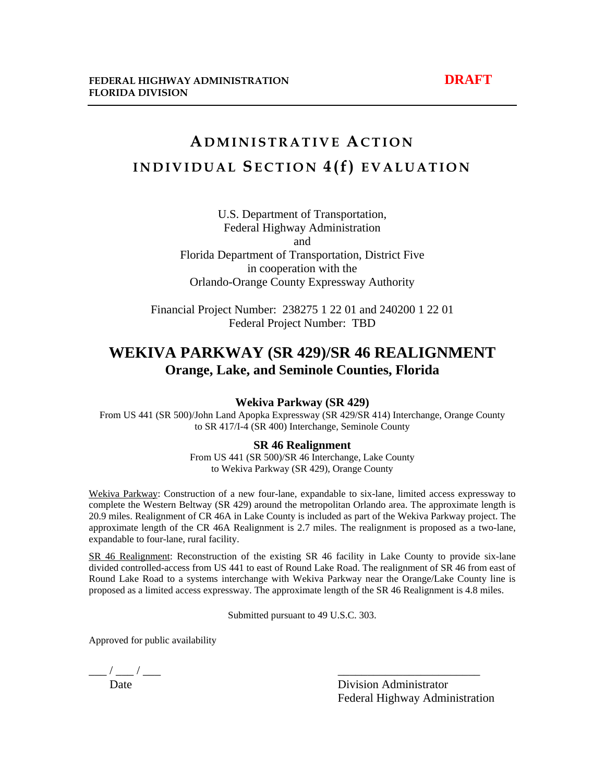## **A DMINISTRATIVE ACTION INDIVIDUAL SECTION 4(f) EVALUATION**

U.S. Department of Transportation, Federal Highway Administration and Florida Department of Transportation, District Five in cooperation with the Orlando-Orange County Expressway Authority

Financial Project Number: 238275 1 22 01 and 240200 1 22 01 Federal Project Number: TBD

### **WEKIVA PARKWAY (SR 429)/SR 46 REALIGNMENT Orange, Lake, and Seminole Counties, Florida**

#### **Wekiva Parkway (SR 429)**

From US 441 (SR 500)/John Land Apopka Expressway (SR 429/SR 414) Interchange, Orange County to SR 417/I-4 (SR 400) Interchange, Seminole County

#### **SR 46 Realignment**

From US 441 (SR 500)/SR 46 Interchange, Lake County to Wekiva Parkway (SR 429), Orange County

Wekiva Parkway: Construction of a new four-lane, expandable to six-lane, limited access expressway to complete the Western Beltway (SR 429) around the metropolitan Orlando area. The approximate length is 20.9 miles. Realignment of CR 46A in Lake County is included as part of the Wekiva Parkway project. The approximate length of the CR 46A Realignment is 2.7 miles. The realignment is proposed as a two-lane, expandable to four-lane, rural facility.

SR 46 Realignment: Reconstruction of the existing SR 46 facility in Lake County to provide six-lane divided controlled-access from US 441 to east of Round Lake Road. The realignment of SR 46 from east of Round Lake Road to a systems interchange with Wekiva Parkway near the Orange/Lake County line is proposed as a limited access expressway. The approximate length of the SR 46 Realignment is 4.8 miles.

Submitted pursuant to 49 U.S.C. 303.

Approved for public availability

 $\frac{1}{\text{Date}}$  / —

Division Administrator Federal Highway Administration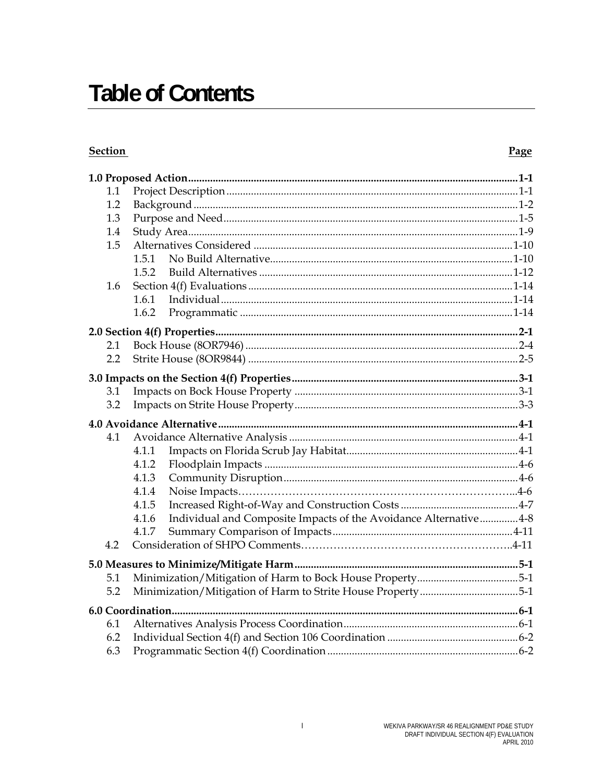# **Table of Contents**

#### **Section**

#### Page

| 1.1        |       |                                                                  |  |  |  |
|------------|-------|------------------------------------------------------------------|--|--|--|
| 1.2        |       |                                                                  |  |  |  |
| 1.3        |       |                                                                  |  |  |  |
| 1.4        |       |                                                                  |  |  |  |
| 1.5        |       |                                                                  |  |  |  |
|            | 1.5.1 |                                                                  |  |  |  |
|            | 1.5.2 |                                                                  |  |  |  |
| 1.6        |       |                                                                  |  |  |  |
|            | 1.6.1 |                                                                  |  |  |  |
|            | 1.6.2 |                                                                  |  |  |  |
|            |       |                                                                  |  |  |  |
| 2.1        |       |                                                                  |  |  |  |
| 2.2        |       |                                                                  |  |  |  |
|            |       |                                                                  |  |  |  |
| 3.1        |       |                                                                  |  |  |  |
| 3.2        |       |                                                                  |  |  |  |
|            |       |                                                                  |  |  |  |
| 4.1        |       |                                                                  |  |  |  |
|            | 4.1.1 |                                                                  |  |  |  |
|            | 4.1.2 |                                                                  |  |  |  |
|            | 4.1.3 |                                                                  |  |  |  |
|            | 4.1.4 |                                                                  |  |  |  |
|            | 4.1.5 |                                                                  |  |  |  |
|            | 4.1.6 | Individual and Composite Impacts of the Avoidance Alternative4-8 |  |  |  |
|            |       |                                                                  |  |  |  |
|            | 4.1.7 |                                                                  |  |  |  |
| 4.2        |       |                                                                  |  |  |  |
|            |       |                                                                  |  |  |  |
| 5.1        |       |                                                                  |  |  |  |
| 5.2        |       | Minimization/Mitigation of Harm to Bock House Property5-1        |  |  |  |
|            |       | Minimization/Mitigation of Harm to Strite House Property5-1      |  |  |  |
|            |       |                                                                  |  |  |  |
| 6.1        |       |                                                                  |  |  |  |
| 6.2<br>6.3 |       |                                                                  |  |  |  |